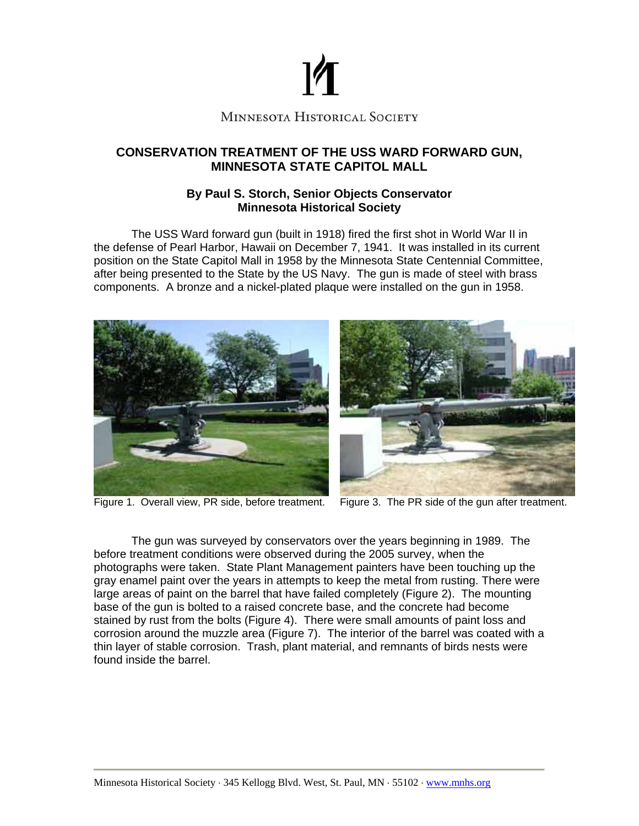

# **CONSERVATION TREATMENT OF THE USS WARD FORWARD GUN, MINNESOTA STATE CAPITOL MALL**

# **By Paul S. Storch, Senior Objects Conservator Minnesota Historical Society**

The USS Ward forward gun (built in 1918) fired the first shot in World War II in the defense of Pearl Harbor, Hawaii on December 7, 1941. It was installed in its current position on the State Capitol Mall in 1958 by the Minnesota State Centennial Committee, after being presented to the State by the US Navy. The gun is made of steel with brass components. A bronze and a nickel-plated plaque were installed on the gun in 1958.







The gun was surveyed by conservators over the years beginning in 1989. The before treatment conditions were observed during the 2005 survey, when the photographs were taken. State Plant Management painters have been touching up the gray enamel paint over the years in attempts to keep the metal from rusting. There were large areas of paint on the barrel that have failed completely (Figure 2). The mounting base of the gun is bolted to a raised concrete base, and the concrete had become stained by rust from the bolts (Figure 4). There were small amounts of paint loss and corrosion around the muzzle area (Figure 7). The interior of the barrel was coated with a thin layer of stable corrosion. Trash, plant material, and remnants of birds nests were found inside the barrel.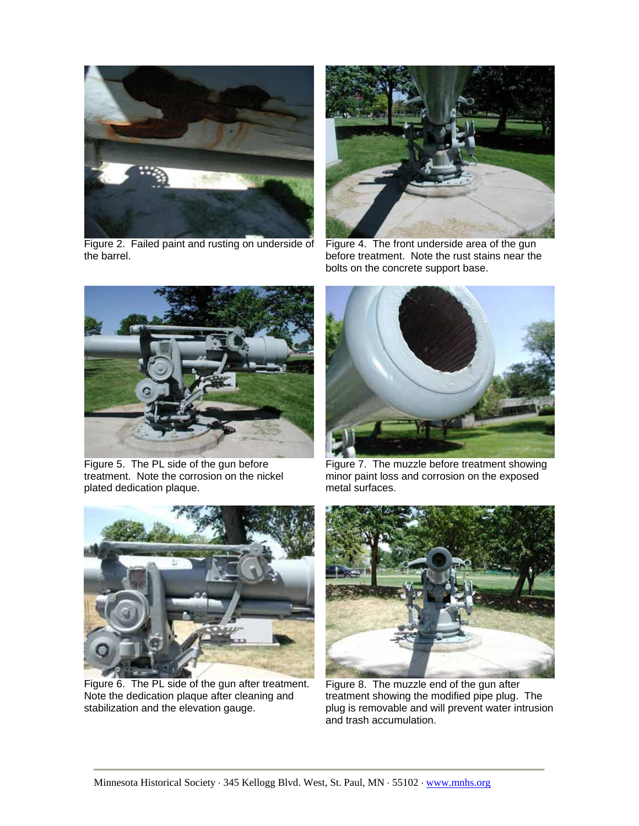

Figure 2. Failed paint and rusting on underside of the barrel.



Figure 4. The front underside area of the gun before treatment. Note the rust stains near the bolts on the concrete support base.



Figure 5. The PL side of the gun before treatment. Note the corrosion on the nickel plated dedication plaque.



Figure 7. The muzzle before treatment showing minor paint loss and corrosion on the exposed metal surfaces.



Figure 6. The PL side of the gun after treatment. Note the dedication plaque after cleaning and stabilization and the elevation gauge.



Figure 8. The muzzle end of the gun after treatment showing the modified pipe plug. The plug is removable and will prevent water intrusion and trash accumulation.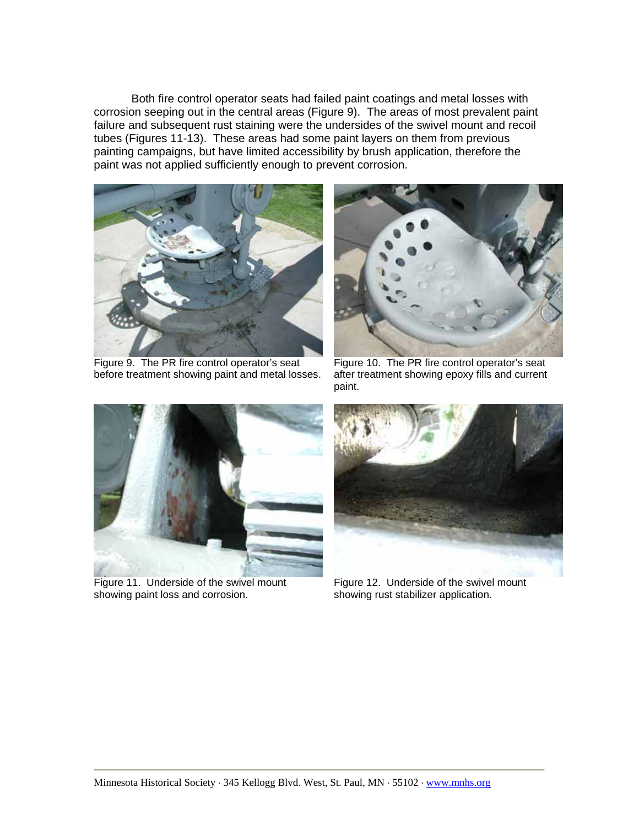Both fire control operator seats had failed paint coatings and metal losses with corrosion seeping out in the central areas (Figure 9). The areas of most prevalent paint failure and subsequent rust staining were the undersides of the swivel mount and recoil tubes (Figures 11-13). These areas had some paint layers on them from previous painting campaigns, but have limited accessibility by brush application, therefore the paint was not applied sufficiently enough to prevent corrosion.



Figure 9. The PR fire control operator's seat before treatment showing paint and metal losses.



Figure 10. The PR fire control operator's seat after treatment showing epoxy fills and current paint.



Figure 11. Underside of the swivel mount showing paint loss and corrosion.



Figure 12. Underside of the swivel mount showing rust stabilizer application.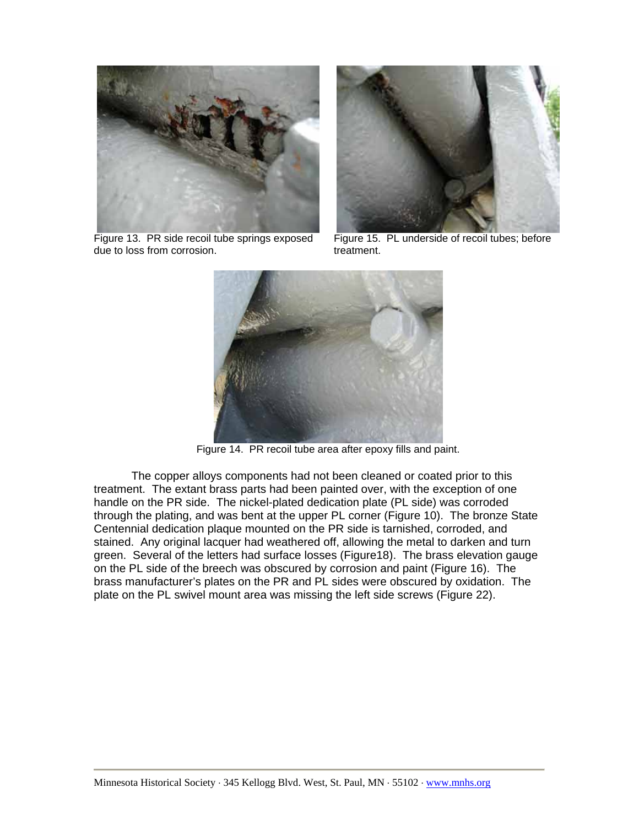

Figure 13. PR side recoil tube springs exposed due to loss from corrosion.



Figure 15. PL underside of recoil tubes; before treatment.



Figure 14. PR recoil tube area after epoxy fills and paint.

The copper alloys components had not been cleaned or coated prior to this treatment. The extant brass parts had been painted over, with the exception of one handle on the PR side. The nickel-plated dedication plate (PL side) was corroded through the plating, and was bent at the upper PL corner (Figure 10). The bronze State Centennial dedication plaque mounted on the PR side is tarnished, corroded, and stained. Any original lacquer had weathered off, allowing the metal to darken and turn green. Several of the letters had surface losses (Figure18). The brass elevation gauge on the PL side of the breech was obscured by corrosion and paint (Figure 16). The brass manufacturer's plates on the PR and PL sides were obscured by oxidation. The plate on the PL swivel mount area was missing the left side screws (Figure 22).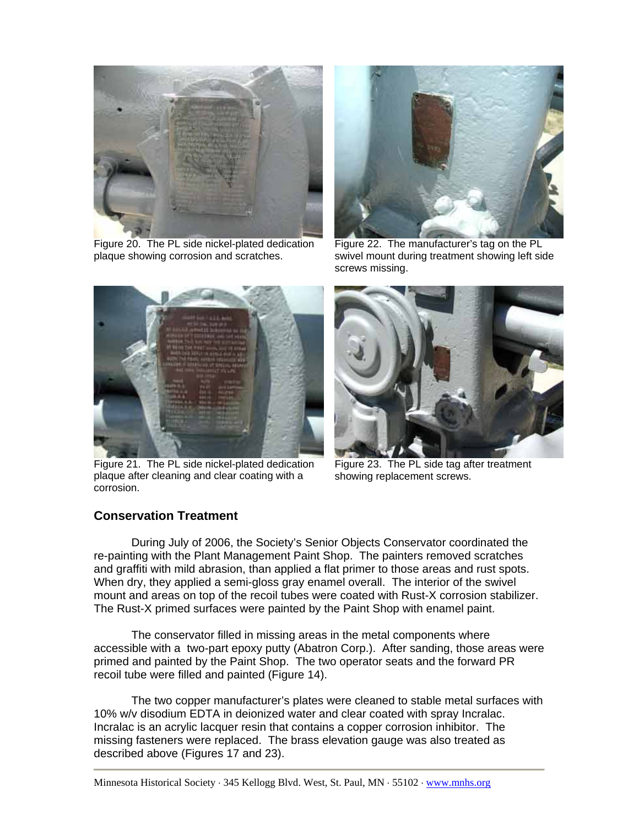

Figure 20. The PL side nickel-plated dedication plaque showing corrosion and scratches.



Figure 22. The manufacturer's tag on the PL swivel mount during treatment showing left side screws missing.



Figure 21. The PL side nickel-plated dedication plaque after cleaning and clear coating with a corrosion.



Figure 23. The PL side tag after treatment showing replacement screws.

## **Conservation Treatment**

During July of 2006, the Society's Senior Objects Conservator coordinated the re-painting with the Plant Management Paint Shop. The painters removed scratches and graffiti with mild abrasion, than applied a flat primer to those areas and rust spots. When dry, they applied a semi-gloss gray enamel overall. The interior of the swivel mount and areas on top of the recoil tubes were coated with Rust-X corrosion stabilizer. The Rust-X primed surfaces were painted by the Paint Shop with enamel paint.

The conservator filled in missing areas in the metal components where accessible with a two-part epoxy putty (Abatron Corp.). After sanding, those areas were primed and painted by the Paint Shop. The two operator seats and the forward PR recoil tube were filled and painted (Figure 14).

The two copper manufacturer's plates were cleaned to stable metal surfaces with 10% w/v disodium EDTA in deionized water and clear coated with spray Incralac. Incralac is an acrylic lacquer resin that contains a copper corrosion inhibitor. The missing fasteners were replaced. The brass elevation gauge was also treated as described above (Figures 17 and 23).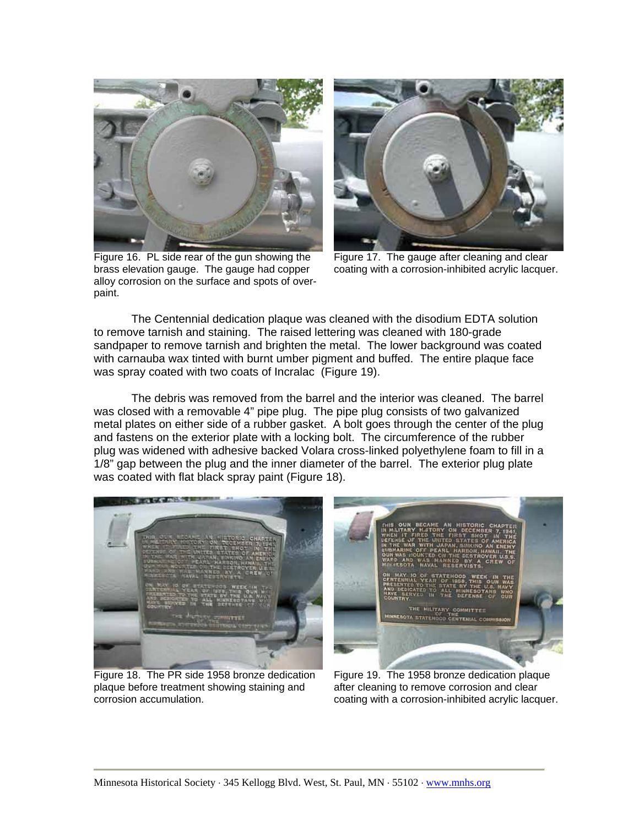

Figure 16. PL side rear of the gun showing the brass elevation gauge. The gauge had copper alloy corrosion on the surface and spots of overpaint.



Figure 17. The gauge after cleaning and clear coating with a corrosion-inhibited acrylic lacquer.

The Centennial dedication plaque was cleaned with the disodium EDTA solution to remove tarnish and staining. The raised lettering was cleaned with 180-grade sandpaper to remove tarnish and brighten the metal. The lower background was coated with carnauba wax tinted with burnt umber pigment and buffed. The entire plaque face was spray coated with two coats of Incralac (Figure 19).

The debris was removed from the barrel and the interior was cleaned. The barrel was closed with a removable 4" pipe plug. The pipe plug consists of two galvanized metal plates on either side of a rubber gasket. A bolt goes through the center of the plug and fastens on the exterior plate with a locking bolt. The circumference of the rubber plug was widened with adhesive backed Volara cross-linked polyethylene foam to fill in a 1/8" gap between the plug and the inner diameter of the barrel. The exterior plug plate was coated with flat black spray paint (Figure 18).



Figure 18. The PR side 1958 bronze dedication plaque before treatment showing staining and corrosion accumulation.



Figure 19. The 1958 bronze dedication plaque after cleaning to remove corrosion and clear coating with a corrosion-inhibited acrylic lacquer.